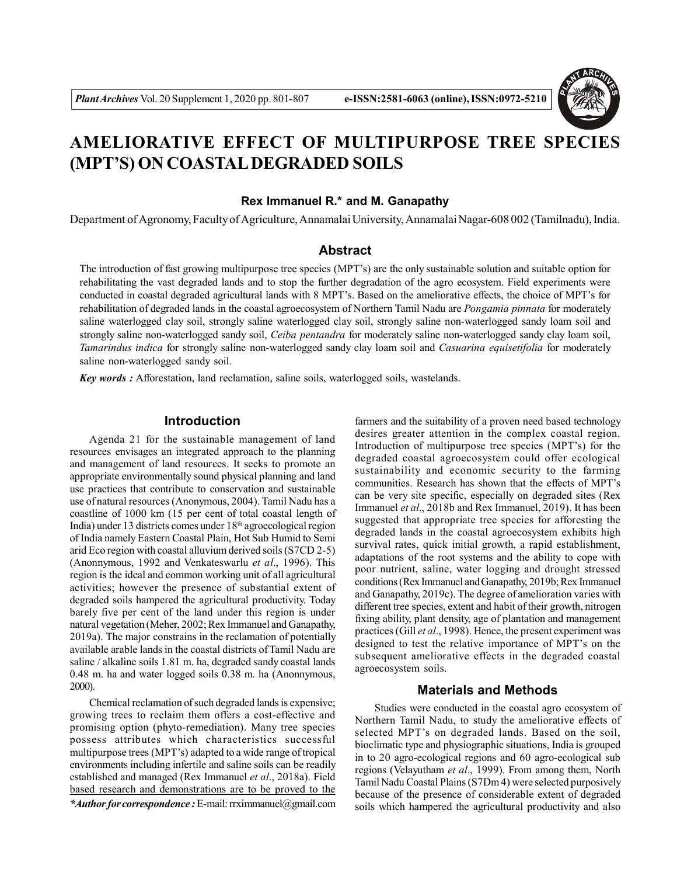

# **AMELIORATIVE EFFECT OF MULTIPURPOSE TREE SPECIES (MPT'S) ON COASTAL DEGRADED SOILS**

# **Rex Immanuel R.\* and M. Ganapathy**

Department of Agronomy, Faculty of Agriculture, Annamalai University, Annamalai Nagar-608 002 (Tamilnadu), India.

# **Abstract**

The introduction of fast growing multipurpose tree species (MPT's) are the only sustainable solution and suitable option for rehabilitating the vast degraded lands and to stop the further degradation of the agro ecosystem. Field experiments were conducted in coastal degraded agricultural lands with 8 MPT's. Based on the ameliorative effects, the choice of MPT's for rehabilitation of degraded lands in the coastal agroecosystem of Northern Tamil Nadu are *Pongamia pinnata* for moderately saline waterlogged clay soil, strongly saline waterlogged clay soil, strongly saline non-waterlogged sandy loam soil and strongly saline non-waterlogged sandy soil, *Ceiba pentandra* for moderately saline non-waterlogged sandy clay loam soil, *Tamarindus indica* for strongly saline non-waterlogged sandy clay loam soil and *Casuarina equisetifolia* for moderately saline non-waterlogged sandy soil.

*Key words :* Afforestation, land reclamation, saline soils, waterlogged soils, wastelands.

# **Introduction**

Agenda 21 for the sustainable management of land resources envisages an integrated approach to the planning and management of land resources. It seeks to promote an appropriate environmentally sound physical planning and land use practices that contribute to conservation and sustainable use of natural resources (Anonymous, 2004). Tamil Nadu has a coastline of 1000 km (15 per cent of total coastal length of India) under 13 districts comes under 18th agroecological region of India namely Eastern Coastal Plain, Hot Sub Humid to Semi arid Eco region with coastal alluvium derived soils (S7CD 2-5) (Anonnymous, 1992 and Venkateswarlu *et al*., 1996). This region is the ideal and common working unit of all agricultural activities; however the presence of substantial extent of degraded soils hampered the agricultural productivity. Today barely five per cent of the land under this region is under natural vegetation (Meher, 2002; Rex Immanuel and Ganapathy, 2019a). The major constrains in the reclamation of potentially available arable lands in the coastal districts of Tamil Nadu are saline / alkaline soils 1.81 m. ha, degraded sandy coastal lands 0.48 m. ha and water logged soils 0.38 m. ha (Anonnymous, 2000).

Chemical reclamation of such degraded lands is expensive; growing trees to reclaim them offers a cost-effective and promising option (phyto-remediation). Many tree species possess attributes which characteristics successful multipurpose trees (MPT's) adapted to a wide range of tropical environments including infertile and saline soils can be readily established and managed (Rex Immanuel *et al*., 2018a). Field based research and demonstrations are to be proved to the *\*Author for correspondence :* E-mail: rrximmanuel@gmail.com

farmers and the suitability of a proven need based technology desires greater attention in the complex coastal region. Introduction of multipurpose tree species (MPT's) for the degraded coastal agroecosystem could offer ecological sustainability and economic security to the farming communities. Research has shown that the effects of MPT's can be very site specific, especially on degraded sites (Rex Immanuel *et al*., 2018b and Rex Immanuel, 2019). It has been suggested that appropriate tree species for afforesting the degraded lands in the coastal agroecosystem exhibits high survival rates, quick initial growth, a rapid establishment, adaptations of the root systems and the ability to cope with poor nutrient, saline, water logging and drought stressed conditions (Rex Immanuel and Ganapathy, 2019b; Rex Immanuel and Ganapathy, 2019c). The degree of amelioration varies with different tree species, extent and habit of their growth, nitrogen fixing ability, plant density, age of plantation and management practices (Gill *et al*., 1998). Hence, the present experiment was designed to test the relative importance of MPT's on the subsequent ameliorative effects in the degraded coastal agroecosystem soils.

# **Materials and Methods**

Studies were conducted in the coastal agro ecosystem of Northern Tamil Nadu, to study the ameliorative effects of selected MPT's on degraded lands. Based on the soil, bioclimatic type and physiographic situations, India is grouped in to 20 agro-ecological regions and 60 agro-ecological sub regions (Velayutham *et al*., 1999). From among them, North Tamil Nadu Coastal Plains (S7Dm 4) were selected purposively because of the presence of considerable extent of degraded soils which hampered the agricultural productivity and also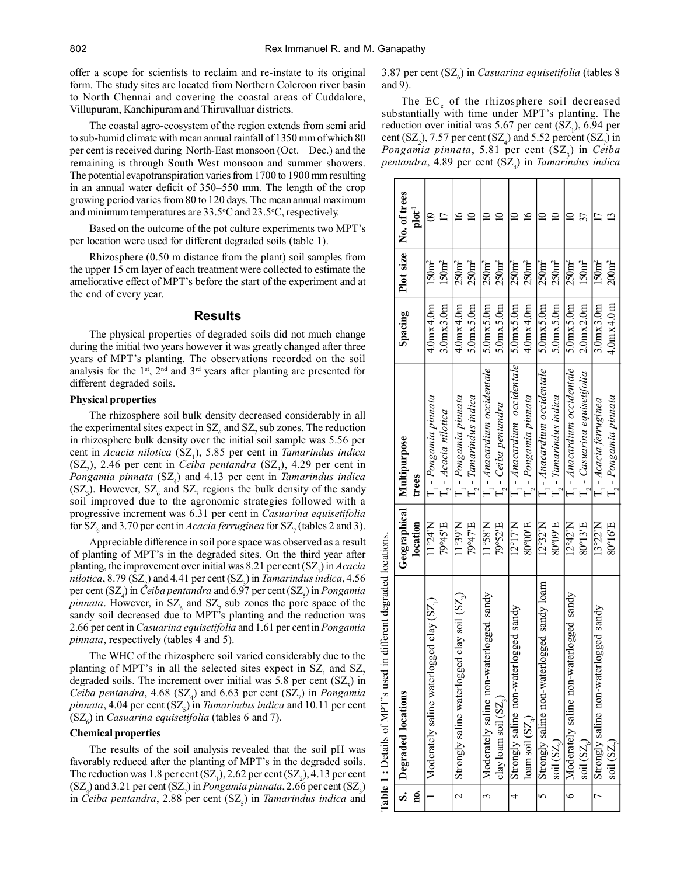offer a scope for scientists to reclaim and re-instate to its original form. The study sites are located from Northern Coleroon river basin to North Chennai and covering the coastal areas of Cuddalore, Villupuram, Kanchipuram and Thiruvalluar districts.

The coastal agro-ecosystem of the region extends from semi arid to sub-humid climate with mean annual rainfall of 1350 mm of which 80 per cent is received during North-East monsoon (Oct. – Dec.) and the remaining is through South West monsoon and summer showers. The potential evapotranspiration varies from 1700 to 1900 mm resulting in an annual water deficit of 350–550 mm. The length of the crop growing period varies from 80 to 120 days. The mean annual maximum and minimum temperatures are  $33.5^{\circ}$ C and  $23.5^{\circ}$ C, respectively.

Based on the outcome of the pot culture experiments two MPT's per location were used for different degraded soils (table 1).

Rhizosphere (0.50 m distance from the plant) soil samples from the upper 15 cm layer of each treatment were collected to estimate the ameliorative effect of MPT's before the start of the experiment and at the end of every year.

## **Results**

The physical properties of degraded soils did not much change during the initial two years however it was greatly changed after three years of MPT's planting. The observations recorded on the soil analysis for the  $1<sup>st</sup>$ ,  $2<sup>nd</sup>$  and  $3<sup>rd</sup>$  years after planting are presented for different degraded soils.

# **Physical properties**

The rhizosphere soil bulk density decreased considerably in all the experimental sites expect in  $SZ_6$  and  $SZ_7$  sub zones. The reduction in rhizosphere bulk density over the initial soil sample was 5.56 per cent in *Acacia nilotica* (SZ<sub>1</sub>), 5.85 per cent in *Tamarindus indica*  $(SZ_2)$ , 2.46 per cent in *Ceiba pentandra*  $(SZ_3)$ , 4.29 per cent in *Pongamia pinnata* (SZ<sup>4</sup> ) and 4.13 per cent in *Tamarindus indica*  $(SZ_5)$ . However,  $SZ_6$  and  $SZ_7$  regions the bulk density of the sandy soil improved due to the agronomic strategies followed with a progressive increment was 6.31 per cent in *Casuarina equisetifolia* for  $SZ_{\rm g}$  and 3.70 per cent in *Acacia ferruginea* for  $SZ_{\rm g}$  (tables 2 and 3).

Appreciable difference in soil pore space was observed as a result of planting of MPT's in the degraded sites. On the third year after planting, the improvement over initial was 8.21 per cent (SZ<sub>1</sub>) in *Acacia nilotica*, 8.79 (SZ<sub>2</sub>) and 4.41 per cent (SZ<sub>3</sub>) in *Tamarindus indica*, 4.56 per cent (SZ<sub>4</sub>) in *Ceiba pentandra* and 6.97 per cent (SZ<sub>5</sub>) in *Pongamia pinnata*. However, in  $SZ_6$  and  $SZ_7$  sub zones the pore space of the sandy soil decreased due to MPT's planting and the reduction was 2.66 per cent in *Casuarina equisetifolia* and 1.61 per cent in *Pongamia pinnata*, respectively (tables 4 and 5).

The WHC of the rhizosphere soil varied considerably due to the planting of MPT's in all the selected sites expect in  $SZ_1$  and  $SZ_2$ degraded soils. The increment over initial was  $5.8$  per cent  $(SZ_3)$  in *Ceiba pentandra*, 4.68  $(SZ_4)$  and 6.63 per cent  $(SZ_7)$  in *Pongamia*  $p$ *innata*, 4.04 per cent (SZ<sub>5</sub>) in *Tamarindus indica* and 10.11 per cent  $(SZ<sub>6</sub>)$  in *Casuarina equisetifolia* (tables 6 and 7).

#### **Chemical properties**

The results of the soil analysis revealed that the soil pH was favorably reduced after the planting of MPT's in the degraded soils. The reduction was 1.8 per cent  $(SZ_1)$ , 2.62 per cent  $(SZ_2)$ , 4.13 per cent  $(SZ_4)$  and 3.21 per cent  $(SZ_7)$  in *Pongamia pinnata*, 2.66 per cent  $(SZ_3)$ in *Ceiba pentandra*, 2.88 per cent (SZ<sub>5</sub>) in *Tamarindus indica* and

3.87 per cent (SZ<sub>6</sub>) in *Casuarina equisetifolia* (tables 8 and 9).

The  $EC_e$  of the rhizosphere soil decreased substantially with time under MPT's planting. The reduction over initial was  $5.67$  per cent  $(SZ_1)$ ,  $6.94$  per cent  $(SZ_2)$ , 7.57 per cent  $(SZ_4)$  and 5.52 percent  $(SZ_7)$  in *Pongamia pinnata*, 5.81 per cent (SZ<sub>3</sub>) in *Ceiba pentandra*, 4.89 per cent (SZ<sup>4</sup> ) in *Tamarindus indica*

|                          | Table 1 : Details of MPT's used in different degraded locations. |                           |                                                |                                        |                      |                          |
|--------------------------|------------------------------------------------------------------|---------------------------|------------------------------------------------|----------------------------------------|----------------------|--------------------------|
|                          | S. Degraded locations                                            | Geographical              | Multipurpose                                   | Spacing                                |                      | Plot size   No. of trees |
| g.                       |                                                                  | location                  | trees                                          |                                        |                      | $_{\rm{pot}}^{\rm{1}}$   |
|                          | $logged$ clay $(SZ_i)$<br>Moderately saline water                | N124N                     | $\cdot$ - Pongamia pinnata                     | $4.0$ $\mathrm{mx}$ $4.0$ $\mathrm{m}$ | 150 <sub>m²</sub>    | ౭                        |
|                          |                                                                  | 79°45'E                   | T <sub>2</sub> - Acacia nilotica               | 3.0 <sub>mx</sub> 3.0 <sub>m</sub>     | $150 \text{m}^2$     |                          |
| $\overline{\mathcal{L}}$ | Strongly saline waterlogged clay soil (SZ,)                      | N66.1                     | $\cdot$ - Pongamia pinnata                     | $4.0$ $\text{mx}$ $4.0$ $\text{m}$     | $250$ m <sup>2</sup> | $\epsilon$               |
|                          |                                                                  | 79°47'E                   | $\zeta$ - Tamarindus indica                    | $5.0$ $mx5.0$ $m$                      | 250 <sub>m²</sub>    |                          |
| 3                        | Moderately saline non-waterlogged sandy                          | N 85 <sub>°11</sub>       | - Anacardium occidentale                       | 5.0 <sub>mx</sub> 5.0 <sub>mn</sub>    | $250$ m <sup>2</sup> |                          |
|                          | clay loam soil $(SZ2)$                                           | 79°52'E                   | $\therefore$ - Ceiba pentandra                 | $5.0$ $mx5.0$ $m$                      | 250 <sub>m²</sub>    |                          |
| 4                        | erlogged sandy<br>Strongly saline non-wat                        | $12^{\circ}17$ N          | - Anacardium occidentale                       | 5.0 <sub>mx</sub> 5.0 <sub>m</sub>     | $250 \text{m}^2$     |                          |
|                          | loam soil $(SZ_A)$                                               | 80°00'E                   | $\lambda$ - Pongamia pinnata                   | $4.0$ m $x4.0$ m                       | 250m <sup>2</sup>    | $\epsilon$               |
|                          | erlogged sandy loam<br>5 Strongly saline non-wat                 | 12°32'N                   | - Anacardium occidentale                       | $5.0$ $mx5.0$ $m$                      | 250m <sup>2</sup>    |                          |
|                          | soil (SZ <sub>s</sub> )                                          | 80°09'E                   | $\Gamma_{\gamma}$ - Tamarindus indica          | 5.0 <sub>mx</sub> 5.0 <sub>m</sub>     | 250m <sup>2</sup>    |                          |
|                          | 6   Moderately saline non-waterlogged sandy                      | $12^{\circ}42^{\prime}$ N | $\Gamma$ <sub>1</sub> - Anacardium occidentale | 5.0 <sub>mx</sub> 5.0 <sub>m</sub>     | $250$ m <sup>2</sup> |                          |
|                          | $\mathrm{soil}\left( \mathrm{SZ}_{c}\right)$                     | 80°13'E                   | $\Gamma$ , - Casuarina equisetifolia           | $2.0$ m $x2.0$ m                       | 150 <sub>m²</sub>    |                          |
|                          | erlogged sandy<br>7 Strongly saline non-wat                      | 13°22'N                   | $\frac{1}{4}$ - Acacia ferruginea              | 3.0 <sub>mx</sub> 3.0 <sub>m</sub>     | $150 \text{m}^2$     |                          |
|                          | $\text{soil}\left( \text{SZ}_{\gamma} \right)$                   | 80°16'E                   | $\Gamma$ , - $Pongamia pima$ ta                | $4.0$ m $x4.0$ m                       | $200 \text{m}^2$     |                          |
|                          |                                                                  |                           |                                                |                                        |                      |                          |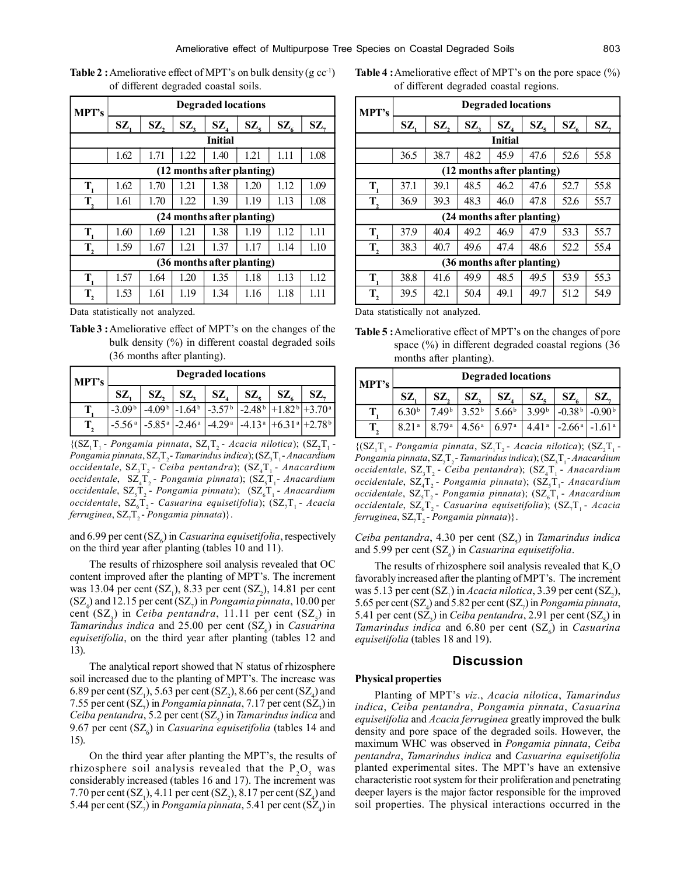| MPT's                      | <b>Degraded locations</b>  |      |      |                            |      |                          |        |  |  |  |
|----------------------------|----------------------------|------|------|----------------------------|------|--------------------------|--------|--|--|--|
|                            | SZ,                        | SZ,  | SZ,  | $\mathbf{SZ}_{4}$          | SZ   | $\mathbf{SZ}_{\epsilon}$ | $SZ$ , |  |  |  |
|                            |                            |      |      | <b>Initial</b>             |      |                          |        |  |  |  |
|                            | 1.62                       | 1.71 | 1.22 | 1.40                       | 1.21 | 1.11                     | 1.08   |  |  |  |
| (12 months after planting) |                            |      |      |                            |      |                          |        |  |  |  |
| T,                         | 1.62                       | 1.70 | 1.21 | 1.38                       | 1.20 | 1.12                     | 1.09   |  |  |  |
| $T_{2}$                    | 1.61                       | 1.70 | 1.22 | 1.39                       | 1.19 | 1.13                     | 1.08   |  |  |  |
|                            |                            |      |      | (24 months after planting) |      |                          |        |  |  |  |
| $\mathbf{T}_{1}$           | 1.60                       | 1.69 | 1.21 | 1.38                       | 1.19 | 1.12                     | 1.11   |  |  |  |
| T,                         | 1.59                       | 1.67 | 1.21 | 1.37                       | 1.17 | 1.14                     | 1.10   |  |  |  |
|                            | (36 months after planting) |      |      |                            |      |                          |        |  |  |  |
| $\mathbf{T}_{1}$           | 1.57                       | 1.64 | 1.20 | 1.35                       | 1.18 | 1.13                     | 1.12   |  |  |  |
| $T_{2}$                    | 1.53                       | 1.61 | 1.19 | 1.34                       | 1.16 | 1.18                     | 1.11   |  |  |  |

**Table 2 :** Ameliorative effect of MPT's on bulk density  $(g \ncoc^{-1})$ of different degraded coastal soils.

Data statistically not analyzed.

**Table 3 :**Ameliorative effect of MPT's on the changes of the bulk density (%) in different coastal degraded soils (36 months after planting).

| MPT's | <b>Degraded locations</b> |     |     |                                                                                                                                                    |     |               |     |  |  |
|-------|---------------------------|-----|-----|----------------------------------------------------------------------------------------------------------------------------------------------------|-----|---------------|-----|--|--|
|       |                           | SZ. | SZ. | SZ.                                                                                                                                                | SZ. | $\mathbf{SZ}$ | SZ. |  |  |
|       | $-3.09b$                  |     |     | $-4.09b$ -1.64 <sup>b</sup> -3.57 <sup>b</sup> -2.48 <sup>b</sup> +1.82 <sup>b</sup> +3.70 <sup>a</sup>                                            |     |               |     |  |  |
|       |                           |     |     | $-5.56$ <sup>a</sup> $-5.85$ <sup>a</sup> $-2.46$ <sup>a</sup> $-4.29$ <sup>a</sup> $-4.13$ <sup>a</sup> $+6.31$ <sup>a</sup> $+2.78$ <sup>b</sup> |     |               |     |  |  |

 $\{ (SZ_1T_1 - Pongamia pinnata, SZ_1T_2 - Acacia nilotica); (SZ_2T_1 - QI) \}$ Pongamia pinnata, SZ<sub>2</sub>T<sub>2</sub>- Tamarindus indica); (SZ<sub>3</sub>T<sub>1</sub>- Anacardium occidentale, SZ<sub>3</sub>T<sub>2</sub> - Ceiba pentandra); (SZ<sub>4</sub>T<sub>1</sub> - *Anacardium* occidentale,  $\, \text{SZ}_4 \text{T}_2$ - *Pongamia pinnata*); ( $\, \text{SZ}_5 \text{T}_1$ - Anacardium occidentale,  $SZ_{5}T_{2}$  - *Pongamia pinnata*); (SZ<sub>6</sub>T<sub>1</sub> - *Anacardium* occidentale, SZ<sub>6</sub>T<sub>2</sub> - Casuarina equisetifolia); (SZ<sub>7</sub>T<sub>1</sub> - Acacia  $f$ erruginea, SZ<sub>7</sub>T<sub>2</sub> - *Pongamia pinnata*)}.

and 6.99 per cent (SZ<sub>6</sub>) in *Casuarina equisetifolia*, respectively on the third year after planting (tables 10 and 11).

The results of rhizosphere soil analysis revealed that OC content improved after the planting of MPT's. The increment was 13.04 per cent  $(SZ_1)$ , 8.33 per cent  $(SZ_2)$ , 14.81 per cent  $(SZ_4)$  and 12.15 per cent  $(SZ_7)$  in *Pongamia pinnata*, 10.00 per cent  $(SZ_3)$  in *Ceiba pentandra*, 11.11 per cent  $(SZ_5)$  in *Tamarindus indica* and 25.00 per cent (SZ<sub>6</sub>) in *Casuarina equisetifolia*, on the third year after planting (tables 12 and 13).

The analytical report showed that N status of rhizosphere soil increased due to the planting of MPT's. The increase was 6.89 per cent  $(SZ_1)$ , 5.63 per cent  $(SZ_2)$ , 8.66 per cent  $(SZ_4)$  and 7.55 per cent  $(SZ_2)$  in *Pongamia pinnata*, 7.17 per cent  $(SZ_3)$  in *Ceiba pentandra*, 5.2 per cent (SZ<sub>5</sub>) in *Tamarindus indica* and 9.67 per cent (SZ<sub>6</sub>) in *Casuarina equisetifolia* (tables 14 and 15).

On the third year after planting the MPT's, the results of rhizosphere soil analysis revealed that the  $P_2O_5$  was considerably increased (tables 16 and 17). The increment was 7.70 per cent  $(SZ_1)$ , 4.11 per cent  $(SZ_2)$ , 8.17 per cent  $(SZ_4)$  and 5.44 per cent  $(SZ_{\gamma})$  in *Pongamia pinnata*, 5.41 per cent  $(SZ_{4})$  in

**Table 4 :**Ameliorative effect of MPT's on the pore space (%) of different degraded coastal regions.

| MPT's                      | <b>Degraded locations</b> |      |        |               |                            |                          |      |  |  |
|----------------------------|---------------------------|------|--------|---------------|----------------------------|--------------------------|------|--|--|
|                            | SZ,                       | SZ,  | $SZ$ , | $\mathbf{SZ}$ | $\mathbf{SZ}_{\mathsf{S}}$ | $\mathbf{SZ}_{\epsilon}$ | SZ,  |  |  |
| <b>Initial</b>             |                           |      |        |               |                            |                          |      |  |  |
|                            | 36.5                      | 38.7 | 48.2   | 45.9          | 47.6                       | 52.6                     | 55.8 |  |  |
| (12 months after planting) |                           |      |        |               |                            |                          |      |  |  |
| T,                         | 37.1                      | 39.1 | 48.5   | 46.2          | 47.6                       | 52.7                     | 55.8 |  |  |
| $T_{2}$                    | 36.9                      | 39.3 | 48.3   | 46.0          | 47.8                       | 52.6                     | 55.7 |  |  |
|                            |                           |      |        |               | (24 months after planting) |                          |      |  |  |
| T,                         | 37.9                      | 40.4 | 49.2   | 46.9          | 47.9                       | 53.3                     | 55.7 |  |  |
| T,                         | 38.3                      | 40.7 | 49.6   | 47.4          | 48.6                       | 52.2                     | 55.4 |  |  |
| (36 months after planting) |                           |      |        |               |                            |                          |      |  |  |
| T,                         | 38.8                      | 41.6 | 49.9   | 48.5          | 49.5                       | 53.9                     | 55.3 |  |  |
| $\mathbf{T}_2$             | 39.5                      | 42.1 | 50.4   | 49.1          | 49.7                       | 51.2                     | 54.9 |  |  |

Data statistically not analyzed.

**Table 5 :**Ameliorative effect of MPT's on the changes of pore space (%) in different degraded coastal regions (36 months after planting).

| <b>MPT's</b> | <b>Degraded locations</b> |                   |                   |                   |                   |                 |          |  |  |
|--------------|---------------------------|-------------------|-------------------|-------------------|-------------------|-----------------|----------|--|--|
|              | SZ                        | SZ,               | SZ,               | SZ                | SZ.               | SZ.             | SZ.      |  |  |
|              | 6.30 <sup>b</sup>         | 7.49 <sup>b</sup> | 3.52 <sup>b</sup> | 5.66 <sup>b</sup> | 3.99 <sup>b</sup> | $-0.38b$        | $-0.90b$ |  |  |
| T.           | 8.21 <sup>a</sup>         | 8 79 <sup>a</sup> | 4.56 <sup>a</sup> | 697 <sup>a</sup>  | 4.41 <sup>a</sup> | $-2.66^{\rm a}$ | $-1.61a$ |  |  |

 $\{ (SZ_1T_1 - Pongamia pinnata, SZ_1T_2 - Acacia nilotica); (SZ_2T_1 - QI) \}$ Pongamia pinnata, SZ<sub>2</sub>T<sub>2</sub>- Tamarindus indica); (SZ<sub>3</sub>T<sub>1</sub>- Anacardium occidentale,  $\text{SZ}_3 \text{T}_2$ - Ceiba pentandra);  $\text{SZ}_4 \text{T}_1$ - *Anacardium* occidentale,  $SZ_4T_2$ - Pongamia pinnata);  $SZ_5T_1$ - Anacardium occidentale,  $SZ_5T_2$ - Pongamia pinnata);  $(SZ_6T_1$ - *Anacardium* occidentale, SZ<sub>6</sub>T<sub>2</sub> - *Casuarina equisetifolia*); (SZ<sub>7</sub>T<sub>1</sub> - *Acacia*  $f$ erruginea, SZ<sub>7</sub>T<sub>2</sub> - *Pongamia pinnata*)}.

 $Ceiba$  pentandra, 4.30 per cent (SZ<sub>5</sub>) in *Tamarindus indica* and 5.99 per cent (SZ<sub>6</sub>) in *Casuarina equisetifolia*.

The results of rhizosphere soil analysis revealed that  $K<sub>2</sub>O$ favorably increased after the planting of MPT's. The increment was 5.13 per cent  $(SZ_1)$  in *Acacia nilotica*, 3.39 per cent  $(SZ_2)$ , 5.65 per cent  $(SZ_4)$  and 5.82 per cent  $(SZ_7)$  in *Pongamia pinnata*, 5.41 per cent  $(SZ_3)$  in *Ceiba pentandra*, 2.91 per cent  $(SZ_5)$  in *Tamarindus indica* and 6.80 per cent (SZ<sub>6</sub>) in *Casuarina equisetifolia* (tables 18 and 19).

# **Discussion**

# **Physical properties**

Planting of MPT's *viz*., *Acacia nilotica*, *Tamarindus indica*, *Ceiba pentandra*, *Pongamia pinnata*, *Casuarina equisetifolia* and *Acacia ferruginea* greatly improved the bulk density and pore space of the degraded soils. However, the maximum WHC was observed in *Pongamia pinnata*, *Ceiba pentandra*, *Tamarindus indica* and *Casuarina equisetifolia* planted experimental sites. The MPT's have an extensive characteristic root system for their proliferation and penetrating deeper layers is the major factor responsible for the improved soil properties. The physical interactions occurred in the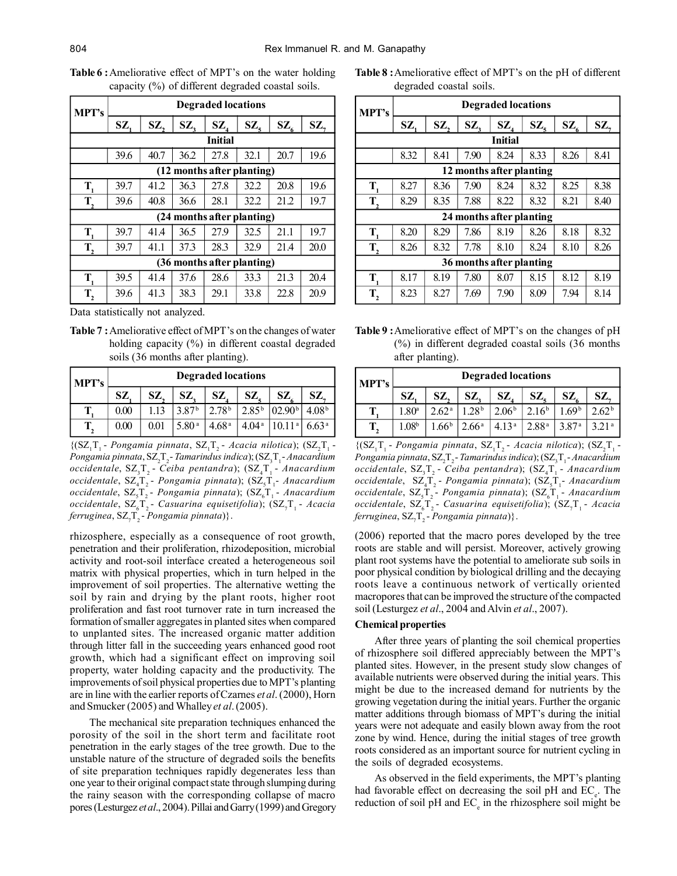| MPT's                      | <b>Degraded locations</b> |      |      |                   |                            |                          |      |  |  |  |
|----------------------------|---------------------------|------|------|-------------------|----------------------------|--------------------------|------|--|--|--|
|                            | SZ,                       | SZ,  | SZ,  | $\mathbf{SZ}_{4}$ | $\mathbf{SZ}_{\mathsf{s}}$ | $\mathbf{SZ}_{\epsilon}$ | SZ,  |  |  |  |
|                            |                           |      |      | <b>Initial</b>    |                            |                          |      |  |  |  |
|                            | 39.6                      | 40.7 | 36.2 | 27.8              | 32.1                       | 20.7                     | 19.6 |  |  |  |
| (12 months after planting) |                           |      |      |                   |                            |                          |      |  |  |  |
| T.                         | 39.7                      | 41.2 | 36.3 | 27.8              | 32.2                       | 20.8                     | 19.6 |  |  |  |
| T,                         | 39.6                      | 40.8 | 36.6 | 28.1              | 32.2                       | 21.2                     | 19.7 |  |  |  |
|                            |                           |      |      |                   | (24 months after planting) |                          |      |  |  |  |
| $\mathbf{T}_{1}$           | 39.7                      | 41.4 | 36.5 | 27.9              | 32.5                       | 21.1                     | 19.7 |  |  |  |
| T,                         | 39.7                      | 41.1 | 37.3 | 28.3              | 32.9                       | 21.4                     | 20.0 |  |  |  |
| (36 months after planting) |                           |      |      |                   |                            |                          |      |  |  |  |
| $\mathbf{T}_{1}$           | 39.5                      | 41.4 | 37.6 | 28.6              | 33.3                       | 21.3                     | 20.4 |  |  |  |
| $\mathbf{T}_2$             | 39.6                      | 41.3 | 38.3 | 29.1              | 33.8                       | 22.8                     | 20.9 |  |  |  |

**Table 6 :**Ameliorative effect of MPT's on the water holding capacity (%) of different degraded coastal soils.

Data statistically not analyzed.

**Table 7 :**Ameliorative effect of MPT's on the changes of water holding capacity (%) in different coastal degraded soils (36 months after planting).

| <b>MPT's</b> | <b>Degraded locations</b> |      |                   |                   |                   |                     |                   |  |  |
|--------------|---------------------------|------|-------------------|-------------------|-------------------|---------------------|-------------------|--|--|
|              | SZ.                       | SZ,  | SZ.               | SZ.               | SZ.               | SZ.                 | SZ.               |  |  |
|              | 0.00                      | 1.13 | 387 <sup>b</sup>  | 2.78 <sup>b</sup> | $2.85^{b}$        | 102.90 <sup>b</sup> | 4.08 <sup>b</sup> |  |  |
|              | 0.00                      | 0.01 | 5.80 <sup>a</sup> | 4.68 <sup>a</sup> | 4.04 <sup>a</sup> | 10.11 <sup>a</sup>  | 6.63 <sup>a</sup> |  |  |

 $\{ (SZ_1T_1 - Pongamia pinnata, SZ_1T_2 - Acacia nilotica) ; (SZ_2T_1 - QI) \}$ Pongamia pinnata, SZ<sub>2</sub>T<sub>2</sub>- Tamarindus indica); (SZ<sub>3</sub>T<sub>1</sub>- Anacardium occidentale, SZ<sub>3</sub>T<sub>2</sub> - Ceiba pentandra); (SZ<sub>4</sub>T<sub>1</sub> - *Anacardium* occidentale,  $\text{SZ}_4\text{T}_2$ - Pongamia pinnata);  $(\text{SZ}_5\text{T}_1$ - Anacardium occidentale, SZ<sub>5</sub>T<sub>2</sub> - Pongamia pinnata); (SZ<sub>6</sub>T<sub>1</sub> - *Anacardium* occidentale, SZ<sub>6</sub>T<sub>2</sub> - Casuarina equisetifolia); (SZ<sub>7</sub>T<sub>1</sub> - Acacia *ferruginea,* SZ<sub>7</sub>T<sub>2</sub> - *Pongamia pinnata*)}.

rhizosphere, especially as a consequence of root growth, penetration and their proliferation, rhizodeposition, microbial activity and root-soil interface created a heterogeneous soil matrix with physical properties, which in turn helped in the improvement of soil properties. The alternative wetting the soil by rain and drying by the plant roots, higher root proliferation and fast root turnover rate in turn increased the formation of smaller aggregates in planted sites when compared to unplanted sites. The increased organic matter addition through litter fall in the succeeding years enhanced good root growth, which had a significant effect on improving soil property, water holding capacity and the productivity. The improvements of soil physical properties due to MPT's planting are in line with the earlier reports of Czarnes *et al*. (2000), Horn and Smucker (2005) and Whalley *et al*. (2005).

The mechanical site preparation techniques enhanced the porosity of the soil in the short term and facilitate root penetration in the early stages of the tree growth. Due to the unstable nature of the structure of degraded soils the benefits of site preparation techniques rapidly degenerates less than one year to their original compact state through slumping during the rainy season with the corresponding collapse of macro pores (Lesturgez *et al*., 2004). Pillai and Garry (1999) and Gregory

**Table 8 :**Ameliorative effect of MPT's on the pH of different degraded coastal soils.

| <b>MPT's</b>             | <b>Degraded locations</b> |      |        |                          |        |                 |        |  |  |
|--------------------------|---------------------------|------|--------|--------------------------|--------|-----------------|--------|--|--|
|                          | SZ,                       | SZ,  | $SZ$ , | $\mathbf{SZ}_{4}$        | $SZ$ , | $\mathbf{SZ}_6$ | $SZ$ , |  |  |
| <b>Initial</b>           |                           |      |        |                          |        |                 |        |  |  |
|                          | 8.32                      | 8.41 | 7.90   | 8.24                     | 8.33   | 8.26            | 8.41   |  |  |
| 12 months after planting |                           |      |        |                          |        |                 |        |  |  |
| T,                       | 8.27                      | 8.36 | 7.90   | 8.24                     | 8.32   | 8.25            | 8.38   |  |  |
| $T_{2}$                  | 8.29                      | 8.35 | 7.88   | 8.22                     | 8.32   | 8.21            | 8.40   |  |  |
|                          |                           |      |        | 24 months after planting |        |                 |        |  |  |
| T,                       | 8.20                      | 8.29 | 7.86   | 8.19                     | 8.26   | 8.18            | 8.32   |  |  |
| $\mathbf{T}_{2}$         | 8.26                      | 8.32 | 7.78   | 8.10                     | 8.24   | 8.10            | 8.26   |  |  |
| 36 months after planting |                           |      |        |                          |        |                 |        |  |  |
| T,                       | 8.17                      | 8.19 | 7.80   | 8.07                     | 8.15   | 8.12            | 8.19   |  |  |
| $T_{2}$                  | 8.23                      | 8.27 | 7.69   | 7.90                     | 8.09   | 7.94            | 8.14   |  |  |

**Table 9 :**Ameliorative effect of MPT's on the changes of pH (%) in different degraded coastal soils (36 months after planting).

| <b>MPT's</b> | <b>Degraded locations</b> |                   |                   |                   |                   |                   |                     |  |
|--------------|---------------------------|-------------------|-------------------|-------------------|-------------------|-------------------|---------------------|--|
|              | SZ                        | SZ.               | SZ.               | SZ,               | SZ.               | SZ.               | SZ.                 |  |
|              | 1.80 <sup>a</sup>         | 2.62 <sup>a</sup> | 1.28 <sup>b</sup> | 2.06 <sup>b</sup> | 2.16 <sup>b</sup> | 1.69 <sup>b</sup> | $2.62^{\mathrm{t}}$ |  |
|              | 1.08 <sup>b</sup>         | 1.66 <sup>b</sup> | 2.66 <sup>a</sup> | 4.13 <sup>a</sup> | 2.88 <sup>a</sup> | 3.87 <sup>a</sup> |                     |  |

 $\{ (SZ_1T_1 - Pongamia pinnata, SZ_1T_2 - Acacia nilotica); (SZ_2T_1 - QI) \}$ Pongamia pinnata, SZ<sub>2</sub>T<sub>2</sub>- Tamarindus indica); (SZ<sub>3</sub>T<sub>1</sub>- Anacardium occidentale,  $\text{SZ}_3 \text{T}_2$ - Ceiba pentandra);  $\text{SZ}_4 \text{T}_1$ - *Anacardium* occidentale,  $\, \text{SZ}_4 \text{T}_2$ - *Pongamia pinnata*); ( $\, \text{SZ}_5 \text{T}_1$ - Anacardium occidentale,  $SZ_{5}T_{2}$ - *Pongamia pinnata*); (SZ<sub>6</sub>T<sub>1</sub>- *Anacardium* occidentale, SZ<sub>6</sub>T<sub>2</sub> - Casuarina equisetifolia); (SZ<sub>7</sub>T<sub>1</sub> - Acacia  $f$ erruginea, SZ<sub>7</sub>T<sub>2</sub> - *Pongamia pinnata*)}.

(2006) reported that the macro pores developed by the tree roots are stable and will persist. Moreover, actively growing plant root systems have the potential to ameliorate sub soils in poor physical condition by biological drilling and the decaying roots leave a continuous network of vertically oriented macropores that can be improved the structure of the compacted soil (Lesturgez *et al*., 2004 and Alvin *et al*., 2007).

#### **Chemical properties**

After three years of planting the soil chemical properties of rhizosphere soil differed appreciably between the MPT's planted sites. However, in the present study slow changes of available nutrients were observed during the initial years. This might be due to the increased demand for nutrients by the growing vegetation during the initial years. Further the organic matter additions through biomass of MPT's during the initial years were not adequate and easily blown away from the root zone by wind. Hence, during the initial stages of tree growth roots considered as an important source for nutrient cycling in the soils of degraded ecosystems.

As observed in the field experiments, the MPT's planting had favorable effect on decreasing the soil pH and  $EC_e$ . The reduction of soil pH and  $EC_{e}$  in the rhizosphere soil might be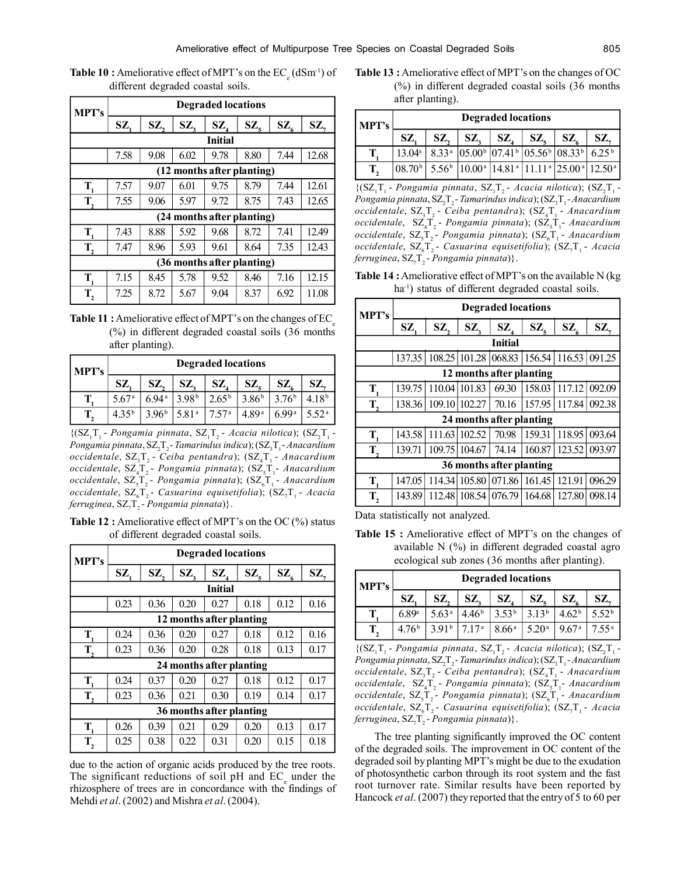| <b>Table 10 :</b> Ameliorative effect of MPT's on the $EC_{\alpha}$ (dSm <sup>-1</sup> ) of |  |
|---------------------------------------------------------------------------------------------|--|
| different degraded coastal soils.                                                           |  |

| MPT's                      | <b>Degraded locations</b> |      |        |                            |                            |                          |       |  |  |
|----------------------------|---------------------------|------|--------|----------------------------|----------------------------|--------------------------|-------|--|--|
|                            | SZ,                       | SZ,  | $SZ$ , | $SZ$ <sub>4</sub>          | $\mathbf{SZ}_{\mathsf{s}}$ | $\mathbf{SZ}_{\epsilon}$ | SZ,   |  |  |
|                            |                           |      |        | <b>Initial</b>             |                            |                          |       |  |  |
|                            | 7.58                      | 9.08 | 6.02   | 9.78                       | 8.80                       | 7.44                     | 12.68 |  |  |
| (12 months after planting) |                           |      |        |                            |                            |                          |       |  |  |
| $T_{1}$                    | 7.57                      | 9.07 | 6.01   | 9.75                       | 8.79                       | 7.44                     | 12.61 |  |  |
| $T_{2}$                    | 7.55                      | 9.06 | 5.97   | 9.72                       | 8.75                       | 7.43                     | 12.65 |  |  |
|                            |                           |      |        | (24 months after planting) |                            |                          |       |  |  |
| $\mathbf{T}_{1}$           | 7.43                      | 8.88 | 5.92   | 9.68                       | 8.72                       | 7.41                     | 12.49 |  |  |
| T,                         | 7.47                      | 8.96 | 5.93   | 9.61                       | 8.64                       | 7.35                     | 12.43 |  |  |
| (36 months after planting) |                           |      |        |                            |                            |                          |       |  |  |
| $\mathbf{T}_{1}$           | 7.15                      | 8.45 | 5.78   | 9.52                       | 8.46                       | 7.16                     | 12.15 |  |  |
| $T_{2}$                    | 7.25                      | 8.72 | 5.67   | 9.04                       | 8.37                       | 6.92                     | 11.08 |  |  |

| Table 11: Ameliorative effect of MPT's on the changes of EC |  |  |
|-------------------------------------------------------------|--|--|
| $(\%)$ in different degraded coastal soils (36 months)      |  |  |
| after planting).                                            |  |  |

| MPT's |                   | <b>Degraded locations</b> |                   |                   |                   |                   |                   |  |  |  |
|-------|-------------------|---------------------------|-------------------|-------------------|-------------------|-------------------|-------------------|--|--|--|
|       | SZ.               | SZ.                       | SZ.               | SZ.               | SZ.               | SZ.               | SZ.               |  |  |  |
|       | 5.67 <sup>a</sup> | 694 <sup>a</sup>          | 3 98 <sup>b</sup> | $2.65^{\rm b}$    | 3.86 <sup>b</sup> | $376^{\rm b}$     | 4 18 <sup>b</sup> |  |  |  |
|       | $435^{b}$         | 396 <sup>b</sup>          | 581 <sup>a</sup>  | 7.57 <sup>a</sup> | 4.89 <sup>a</sup> | 6 99 <sup>a</sup> | 5.52 <sup>a</sup> |  |  |  |

 $\{ (SZ_1T_1 - Pongamia pinnata, SZ_1T_2 - Acacia nilotica); (SZ_2T_1 - QI) \}$ Pongamia pinnata, SZ<sub>2</sub>T<sub>2</sub>- Tamarindus indica); (SZ<sub>3</sub>T<sub>1</sub>- Anacardium occidentale, SZ<sub>3</sub>T<sub>2</sub> - Ceiba pentandra); (SZ<sub>4</sub>T<sub>1</sub> - *Anacardium* occidentale,  $\text{SZ}_4\text{T}_2$ - Pongamia pinnata);  $(\text{SZ}_5\text{T}_1$ - Anacardium occidentale, SZ<sub>5</sub>T<sub>2</sub> - Pongamia pinnata); (SZ<sub>6</sub>T<sub>1</sub> - *Anacardium* occidentale, SZ<sub>6</sub>T<sub>2</sub> - Casuarina equisetifolia); (SZ<sub>7</sub>T<sub>1</sub> - Acacia *ferruginea,* SZ<sub>7</sub>T<sub>2</sub> - *Pongamia pinnata*)}.

**Table 12 :** Ameliorative effect of MPT's on the OC (%) status of different degraded coastal soils.

| <b>MPT's</b>             | <b>Degraded locations</b> |      |        |                          |        |                          |      |  |  |  |
|--------------------------|---------------------------|------|--------|--------------------------|--------|--------------------------|------|--|--|--|
|                          | SZ,                       | SZ,  | $SZ$ , | $\mathbf{SZ}_{4}$        | $SZ$ , | $\mathbf{SZ}_{\epsilon}$ | SZ,  |  |  |  |
| <b>Initial</b>           |                           |      |        |                          |        |                          |      |  |  |  |
|                          | 0.23                      | 0.36 | 0.20   | 0.27                     | 0.18   | 0.12                     | 0.16 |  |  |  |
| 12 months after planting |                           |      |        |                          |        |                          |      |  |  |  |
| $\mathbf{T}_{1}$         | 0.24                      | 0.36 | 0.20   | 0.27                     | 0.18   | 0.12                     | 0.16 |  |  |  |
| $\mathbf{T}_{2}$         | 0.23                      | 0.36 | 0.20   | 0.28                     | 0.18   | 0.13                     | 0.17 |  |  |  |
|                          |                           |      |        | 24 months after planting |        |                          |      |  |  |  |
| $\mathbf{T}_{1}$         | 0.24                      | 0.37 | 0.20   | 0.27                     | 0.18   | 0.12                     | 0.17 |  |  |  |
| T,                       | 0.23                      | 0.36 | 0.21   | 0.30                     | 0.19   | 0.14                     | 0.17 |  |  |  |
| 36 months after planting |                           |      |        |                          |        |                          |      |  |  |  |
| $\mathbf{T}_{1}$         | 0.26                      | 0.39 | 0.21   | 0.29                     | 0.20   | 0.13                     | 0.17 |  |  |  |
| T,                       | 0.25                      | 0.38 | 0.22   | 0.31                     | 0.20   | 0.15                     | 0.18 |  |  |  |

due to the action of organic acids produced by the tree roots. The significant reductions of soil pH and  $EC_{e}$  under the rhizosphere of trees are in concordance with the findings of Mehdi *et al*. (2002) and Mishra *et al*. (2004).

**Table 13 :** Ameliorative effect of MPT's on the changes of OC (%) in different degraded coastal soils (36 months after planting).

| MPT's | <b>Degraded locations</b> |  |                                                                                                                  |  |  |              |     |  |  |
|-------|---------------------------|--|------------------------------------------------------------------------------------------------------------------|--|--|--------------|-----|--|--|
|       | SZ.                       |  | $SZ, \,  SZ, \,  SZ, \,  SZ, \,  $                                                                               |  |  | $\mathbf{S}$ | SZ. |  |  |
|       | $13.04^{\circ}$           |  | $8.33a$ 05.00 <sup>b</sup> 07.41 <sup>b</sup> 05.56 <sup>b</sup> 08.33 <sup>b</sup> 6.25 <sup>b</sup>            |  |  |              |     |  |  |
|       | (08.70 <sup>b</sup> )     |  | $5.56b$   10.00 <sup>a</sup>   14.81 <sup>a</sup>   11.11 <sup>a</sup>   25.00 <sup>a</sup>   12.50 <sup>a</sup> |  |  |              |     |  |  |

 $\{ (SZ_1T_1 - Pongamia pinnata, SZ_1T_2 - Acacia nilotica); (SZ_2T_1 - QI) \}$ Pongamia pinnata, SZ<sub>2</sub>T<sub>2</sub>- Tamarindus indica); (SZ<sub>3</sub>T<sub>1</sub>- Anacardium occidentale, SZ<sub>3</sub>T<sub>2</sub> - Ceiba pentandra); (SZ<sub>4</sub>T<sub>1</sub> - *Anacardium* occidentale,  $\, \text{SZ}_4 \text{T}_2$ - *Pongamia pinnata*); ( $\, \text{SZ}_5 \text{T}_1$ - Anacardium occidentale, SZ<sub>5</sub>T<sub>2</sub> - Pongamia pinnata); (SZ<sub>6</sub>T<sub>1</sub> - *Anacardium* occidentale, SZ<sub>6</sub>T<sub>2</sub> - Casuarina equisetifolia); (SZ<sub>7</sub>T<sub>1</sub> - Acacia *ferruginea,* SZ<sub>7</sub>T<sub>2</sub> - *Pongamia pinnata*)}.

**Table 14 :** Ameliorative effect of MPT's on the available N (kg ha<sup>-1</sup>) status of different degraded coastal soils.

| <b>MPT's</b>             | <b>Degraded locations</b> |        |                      |                                                  |        |                          |        |  |  |  |  |
|--------------------------|---------------------------|--------|----------------------|--------------------------------------------------|--------|--------------------------|--------|--|--|--|--|
|                          | SZ,                       | SZ,    | SZ,                  | $\mathbf{SZ}_{4}$                                | $SZ$ , | $\mathbf{SZ}_{\epsilon}$ | $SZ$ , |  |  |  |  |
| <b>Initial</b>           |                           |        |                      |                                                  |        |                          |        |  |  |  |  |
|                          |                           |        |                      | 137.35 108.25 101.28 068.83 156.54 116.53 091.25 |        |                          |        |  |  |  |  |
| 12 months after planting |                           |        |                      |                                                  |        |                          |        |  |  |  |  |
| T,                       | 139.75                    |        | $110.04 \mid 101.83$ | 69.30                                            | 158.03 | 117.12                   | 092.09 |  |  |  |  |
| T,                       | 138.36                    |        | 109.10 102.27        | 70.16                                            |        | 157.95   117.84          | 092.38 |  |  |  |  |
|                          |                           |        |                      | 24 months after planting                         |        |                          |        |  |  |  |  |
| T.                       | 143.58                    | 111.63 | 102.52               | 70.98                                            | 159.31 | 118.95                   | 093.64 |  |  |  |  |
| T,                       | 139.71                    | 109.75 | 104.67               | 74.14                                            | 160.87 | 123.52                   | 093.97 |  |  |  |  |
|                          |                           |        |                      | 36 months after planting                         |        |                          |        |  |  |  |  |
| $\mathbf{T}_{1}$         | 147.05                    |        |                      | 114.34 105.80 071.86                             | 161.45 | 121.91                   | 096.29 |  |  |  |  |
| $\mathbf{T}_{2}$         | 143.89                    | 112.48 |                      | 108.54   076.79                                  | 164.68 | 127.80                   | 098.14 |  |  |  |  |

Data statistically not analyzed.

**Table 15 :** Ameliorative effect of MPT's on the changes of available N (%) in different degraded coastal agro ecological sub zones (36 months after planting).

| <b>MPT's</b> |                  | <b>Degraded locations</b> |                   |                   |                   |                   |                   |  |  |  |
|--------------|------------------|---------------------------|-------------------|-------------------|-------------------|-------------------|-------------------|--|--|--|
|              | SZ               | SZ,                       | SZ.               | SZ.               | SZ.               | SZ.               | SZ.               |  |  |  |
|              | 6.89a            | 5.63 <sup>a</sup>         | 4.46 <sup>b</sup> | 3.53 <sup>b</sup> | $3.13^{b}$        | 4.62 <sup>b</sup> | 5.52 <sup>b</sup> |  |  |  |
|              | 476 <sup>b</sup> | 3.91 <sup>b</sup>         | 717 <sup>a</sup>  | $8.66^{\rm a}$    | 5.20 <sup>a</sup> | 9.67 <sup>a</sup> | $7.55^{\text{a}}$ |  |  |  |

 $\{ (SZ_1T_1 - Pongamia pinnata, SZ_1T_2 - Acacia nilotica); (SZ_2T_1 - QI) \}$ Pongamia pinnata, SZ<sub>2</sub>T<sub>2</sub>- Tamarindus indica); (SZ<sub>3</sub>T<sub>1</sub>- Anacardium occidentale,  $\text{SZ}_3 \text{T}_2$ - Ceiba pentandra);  $\text{SZ}_4 \text{T}_1$ - *Anacardium* occidentale,  $\, \text{SZ}_4 \text{T}_2$ - *Pongamia pinnata*); ( $\, \text{SZ}_5 \text{T}_1$ - Anacardium occidentale,  $SZ_{5}T_{2}$ - *Pongamia pinnata*); (SZ<sub>6</sub>T<sub>1</sub>- *Anacardium* occidentale, SZ<sub>6</sub>T<sub>2</sub> - Casuarina equisetifolia); (SZ<sub>7</sub>T<sub>1</sub> - Acacia  $f$ erruginea, SZ<sub>7</sub>T<sub>2</sub> - *Pongamia pinnata*)}.

The tree planting significantly improved the OC content of the degraded soils. The improvement in OC content of the degraded soil by planting MPT's might be due to the exudation of photosynthetic carbon through its root system and the fast root turnover rate. Similar results have been reported by Hancock *et al*. (2007) they reported that the entry of 5 to 60 per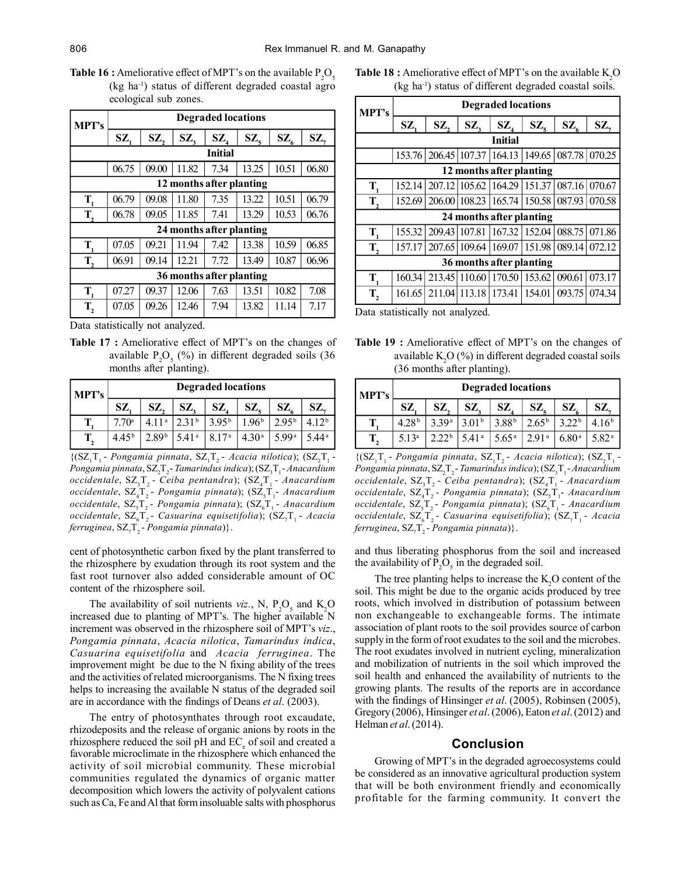**Table 16 :** Ameliorative effect of MPT's on the available  $P_2O_5$ (kg ha-1) status of different degraded coastal agro ecological sub zones.

| <b>MPT's</b>             | <b>Degraded locations</b> |       |       |                          |       |                          |       |  |  |  |  |  |
|--------------------------|---------------------------|-------|-------|--------------------------|-------|--------------------------|-------|--|--|--|--|--|
|                          | SZ,                       | SZ,   | SZ,   | $\mathbf{SZ}_{4}$        | SZ,   | $\mathbf{SZ}_{\epsilon}$ | SZ,   |  |  |  |  |  |
| <b>Initial</b>           |                           |       |       |                          |       |                          |       |  |  |  |  |  |
|                          | 06.75                     | 09.00 | 11.82 | 7.34                     | 13.25 | 10.51                    | 06.80 |  |  |  |  |  |
| 12 months after planting |                           |       |       |                          |       |                          |       |  |  |  |  |  |
| $\mathbf{T}_{i}$         | 06.79                     | 09.08 | 11.80 | 7.35                     | 13.22 | 10.51                    | 06.79 |  |  |  |  |  |
| $T_{2}$                  | 06.78                     | 09.05 | 11.85 | 7.41                     | 13.29 | 10.53                    | 06.76 |  |  |  |  |  |
|                          |                           |       |       | 24 months after planting |       |                          |       |  |  |  |  |  |
| $\mathbf{T}_{1}$         | 07.05                     | 09.21 | 11.94 | 7.42                     | 13.38 | 10.59                    | 06.85 |  |  |  |  |  |
| $\mathbf{T}_{2}$         | 06.91                     | 09.14 | 12.21 | 7.72                     | 13.49 | 10.87                    | 06.96 |  |  |  |  |  |
|                          |                           |       |       | 36 months after planting |       |                          |       |  |  |  |  |  |
| $\mathbf{T}_{1}$         | 07.27                     | 09.37 | 12.06 | 7.63                     | 13.51 | 10.82                    | 7.08  |  |  |  |  |  |
| $T_{2}$                  | 07.05                     | 09.26 | 12.46 | 7.94                     | 13.82 | 11.14                    | 7.17  |  |  |  |  |  |

Data statistically not analyzed.

**Table 17 :** Ameliorative effect of MPT's on the changes of available  $P_2O_5$  (%) in different degraded soils (36 months after planting).

| <b>MPT's</b> |                  | <b>Degraded locations</b> |                   |                   |                   |                   |                   |  |  |  |  |
|--------------|------------------|---------------------------|-------------------|-------------------|-------------------|-------------------|-------------------|--|--|--|--|
|              | SZ.              | SZ,                       | SZ.               | SZ.               | SZ.               | SZ.               | SZ.               |  |  |  |  |
|              | $770^{\circ}$    | 411 <sup>a</sup>          | 2.31 <sup>b</sup> | 395 <sup>b</sup>  | 196 <sup>b</sup>  | 2.95 <sup>b</sup> | 4 1 9 b           |  |  |  |  |
|              | 445 <sup>b</sup> | 2.89 <sup>b</sup>         | 5.41 <sup>a</sup> | 8.17 <sup>a</sup> | 4.30 <sup>a</sup> | 599a              | 5.44 <sup>a</sup> |  |  |  |  |

 $\{ (SZ_1T_1 - Pongamia pinnata, SZ_1T_2 - Acacia nilotica) ; (SZ_2T_1 - QI) \}$ Pongamia pinnata, SZ<sub>2</sub>T<sub>2</sub>- Tamarindus indica); (SZ<sub>3</sub>T<sub>1</sub>- Anacardium occidentale, SZ<sub>3</sub>T<sub>2</sub> - Ceiba pentandra); (SZ<sub>4</sub>T<sub>1</sub> - *Anacardium* occidentale,  $SZ_4T_2$ - Pongamia pinnata);  $SZ_5T_1$ - Anacardium occidentale, SZ<sub>5</sub>T<sub>2</sub> - Pongamia pinnata); (SZ<sub>6</sub>T<sub>1</sub> - *Anacardium* occidentale, SZ<sub>6</sub>T<sub>2</sub> - Casuarina equisetifolia); (SZ<sub>7</sub>T<sub>1</sub> - Acacia *ferruginea,* SZ<sub>7</sub>T<sub>2</sub> - *Pongamia pinnata*)}.

cent of photosynthetic carbon fixed by the plant transferred to the rhizosphere by exudation through its root system and the fast root turnover also added considerable amount of OC content of the rhizosphere soil.

The availability of soil nutrients *viz.*, N,  $P_2O_5$  and  $K_2O$ increased due to planting of MPT's. The higher available N increment was observed in the rhizosphere soil of MPT's *viz*., *Pongamia pinnata*, *Acacia nilotica*, *Tamarindus indica*, *Casuarina equisetifolia* and *Acacia ferruginea*. The improvement might be due to the N fixing ability of the trees and the activities of related microorganisms. The N fixing trees helps to increasing the available N status of the degraded soil are in accordance with the findings of Deans *et al*. (2003).

The entry of photosynthates through root excaudate, rhizodeposits and the release of organic anions by roots in the rhizosphere reduced the soil pH and EC<sub>e</sub> of soil and created a favorable microclimate in the rhizosphere which enhanced the activity of soil microbial community. These microbial communities regulated the dynamics of organic matter decomposition which lowers the activity of polyvalent cations such as Ca, Fe and Al that form insoluable salts with phosphorus **Table 18 :** Ameliorative effect of MPT's on the available K<sub>2</sub>O (kg ha-1) status of different degraded coastal soils.

| MPT's                    | <b>Degraded locations</b> |     |     |                                                     |        |                          |        |  |  |  |
|--------------------------|---------------------------|-----|-----|-----------------------------------------------------|--------|--------------------------|--------|--|--|--|
|                          | SZ                        | SZ, | SZ, | $\mathbf{SZ}_{4}$                                   | $SZ$ , | $\mathbf{SZ}_{\epsilon}$ | SZ,    |  |  |  |
| <b>Initial</b>           |                           |     |     |                                                     |        |                          |        |  |  |  |
|                          | 153.76                    |     |     | 206.45   107.37   164.13   149.65   087.78   070.25 |        |                          |        |  |  |  |
| 12 months after planting |                           |     |     |                                                     |        |                          |        |  |  |  |
| T,                       | 152.14                    |     |     | 207.12 105.62 164.29 151.37 087.16                  |        |                          | 070.67 |  |  |  |
| T,                       | 152.69                    |     |     | 206.00 108.23 165.74 150.58 087.93                  |        |                          | 070.58 |  |  |  |
|                          |                           |     |     | 24 months after planting                            |        |                          |        |  |  |  |
| $\mathbf{T}_1$           | 155.32                    |     |     | 209.43   107.81   167.32   152.04   088.75          |        |                          | 071.86 |  |  |  |
| T,                       | 157.17                    |     |     | 207.65 109.64 169.07                                |        | 151.98 089.14            | 072.12 |  |  |  |
|                          |                           |     |     | 36 months after planting                            |        |                          |        |  |  |  |
| $\mathbf{T}_{1}$         | 160.34                    |     |     | 213.45 110.60 170.50 153.62                         |        | 090.61                   | 073.17 |  |  |  |
| $\mathbf{T}_{2}$         | 161.65                    |     |     | 211.04 113.18 173.41                                | 154.01 | 093.75                   | 074.34 |  |  |  |

Data statistically not analyzed.

**Table 19 :** Ameliorative effect of MPT's on the changes of available  $K<sub>2</sub>O$  (%) in different degraded coastal soils (36 months after planting).

| <b>MPT's</b> |                   | <b>Degraded locations</b> |                   |                   |            |                  |                   |  |  |  |  |
|--------------|-------------------|---------------------------|-------------------|-------------------|------------|------------------|-------------------|--|--|--|--|
|              | SZ.               | SZ.                       | SZ.               | SZ                | SZ.        | SZ.              | SZ.               |  |  |  |  |
|              | 4.28 <sup>b</sup> | 3.39a                     | 3.01 <sup>b</sup> | 3.88 <sup>b</sup> | $2.65^{b}$ | 322 <sub>b</sub> | 4 16 <sup>b</sup> |  |  |  |  |
|              | 5.13 <sup>a</sup> | 22b                       | 541 <sup>a</sup>  | 5.65 <sup>a</sup> | 2.91a      | $6.80^{\rm a}$   | 5 82ª             |  |  |  |  |

 $\{ (SZ_1T_1 - Pongamia pinnata, SZ_1T_2 - Acacia nilotica) ; (SZ_2T_1 - QI) \}$ Pongamia pinnata, SZ<sub>2</sub>T<sub>2</sub>- Tamarindus indica); (SZ<sub>3</sub>T<sub>1</sub>- Anacardium occidentale, SZ<sub>3</sub>T<sub>2</sub> - Ceiba pentandra); (SZ<sub>4</sub>T<sub>1</sub> - *Anacardium* occidentale,  $\text{SZ}_4\text{T}_2$ - Pongamia pinnata);  $(\text{SZ}_5\text{T}_1$ - Anacardium occidentale, SZ<sub>5</sub>T<sub>2</sub> - Pongamia pinnata); (SZ<sub>6</sub>T<sub>1</sub> - *Anacardium* occidentale, SZ<sub>6</sub>T<sub>2</sub> - Casuarina equisetifolia); (SZ<sub>7</sub>T<sub>1</sub> - Acacia  $f$ erruginea, SZ<sub>7</sub>T<sub>2</sub> - *Pongamia pinnata*)}.

and thus liberating phosphorus from the soil and increased the availability of  $P_2O_5$  in the degraded soil.

The tree planting helps to increase the  $K<sub>2</sub>O$  content of the soil. This might be due to the organic acids produced by tree roots, which involved in distribution of potassium between non exchangeable to exchangeable forms. The intimate association of plant roots to the soil provides source of carbon supply in the form of root exudates to the soil and the microbes. The root exudates involved in nutrient cycling, mineralization and mobilization of nutrients in the soil which improved the soil health and enhanced the availability of nutrients to the growing plants. The results of the reports are in accordance with the findings of Hinsinger *et al*. (2005), Robinsen (2005), Gregory (2006), Hinsinger *et al*. (2006), Eaton *et al*. (2012) and Helman *et al*. (2014).

# **Conclusion**

Growing of MPT's in the degraded agroecosystems could be considered as an innovative agricultural production system that will be both environment friendly and economically profitable for the farming community. It convert the